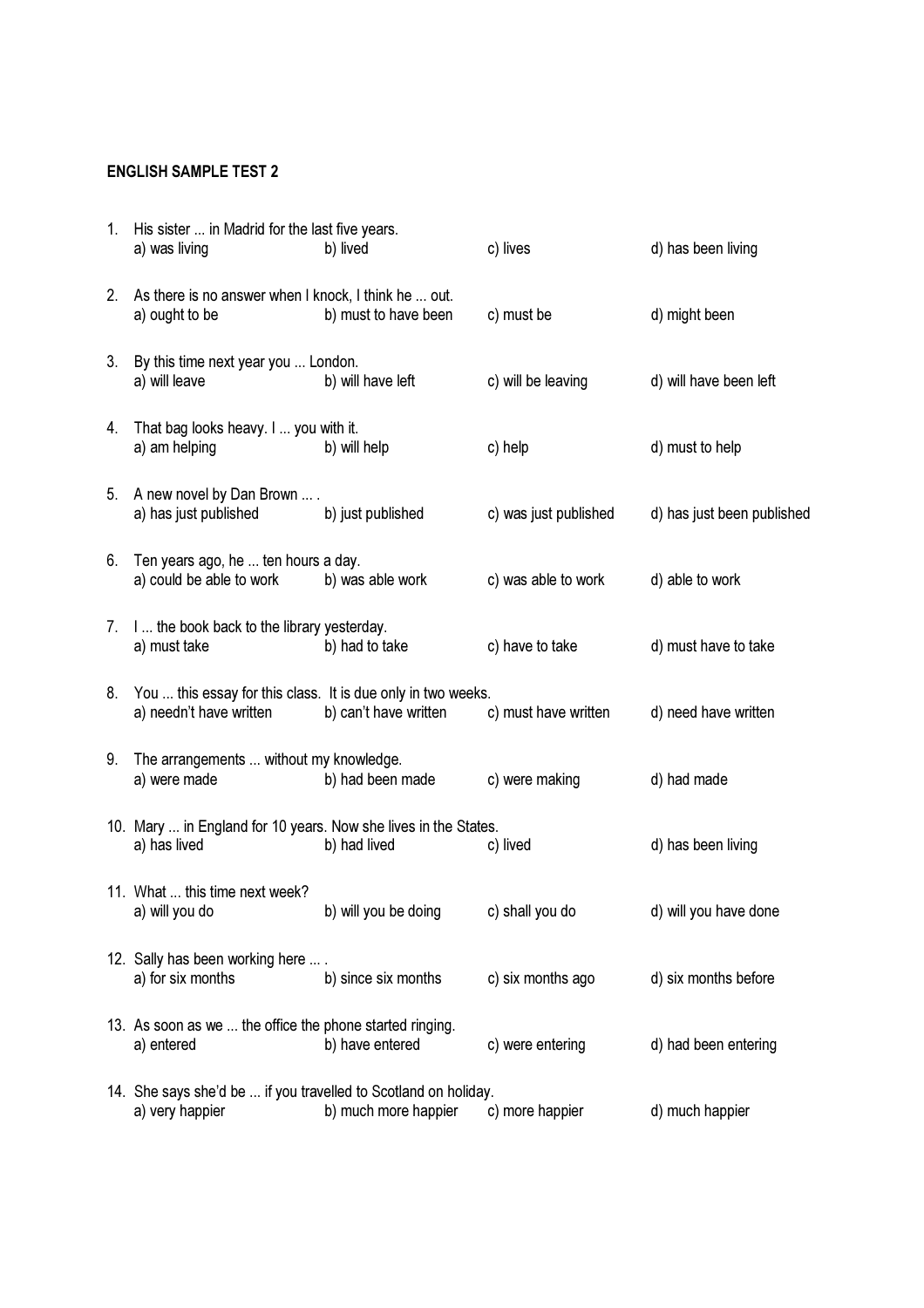## ENGLISH SAMPLE TEST 2

| 1. | His sister  in Madrid for the last five years.<br>a) was living                         | b) lived              | c) lives              | d) has been living         |
|----|-----------------------------------------------------------------------------------------|-----------------------|-----------------------|----------------------------|
| 2. | As there is no answer when I knock, I think he  out.<br>a) ought to be                  | b) must to have been  | c) must be            | d) might been              |
| 3. | By this time next year you  London.<br>a) will leave                                    | b) will have left     | c) will be leaving    | d) will have been left     |
|    | 4. That bag looks heavy. I  you with it.<br>a) am helping                               | b) will help          | c) help               | d) must to help            |
| 5. | A new novel by Dan Brown<br>a) has just published                                       | b) just published     | c) was just published | d) has just been published |
| 6. | Ten years ago, he  ten hours a day.<br>a) could be able to work                         | b) was able work      | c) was able to work   | d) able to work            |
|    | 7. I  the book back to the library yesterday.<br>a) must take                           | b) had to take        | c) have to take       | d) must have to take       |
| 8. | You  this essay for this class. It is due only in two weeks.<br>a) needn't have written | b) can't have written | c) must have written  | d) need have written       |
| 9. | The arrangements  without my knowledge.<br>a) were made                                 | b) had been made      | c) were making        | d) had made                |
|    | 10. Mary  in England for 10 years. Now she lives in the States.<br>a) has lived         | b) had lived          | c) lived              | d) has been living         |
|    | 11. What  this time next week?<br>a) will you do                                        | b) will you be doing  | c) shall you do       | d) will you have done      |
|    | 12. Sally has been working here<br>a) for six months                                    | b) since six months   | c) six months ago     | d) six months before       |
|    | 13. As soon as we  the office the phone started ringing.<br>a) entered                  | b) have entered       | c) were entering      | d) had been entering       |
|    | 14. She says she'd be  if you travelled to Scotland on holiday.<br>a) very happier      | b) much more happier  | c) more happier       | d) much happier            |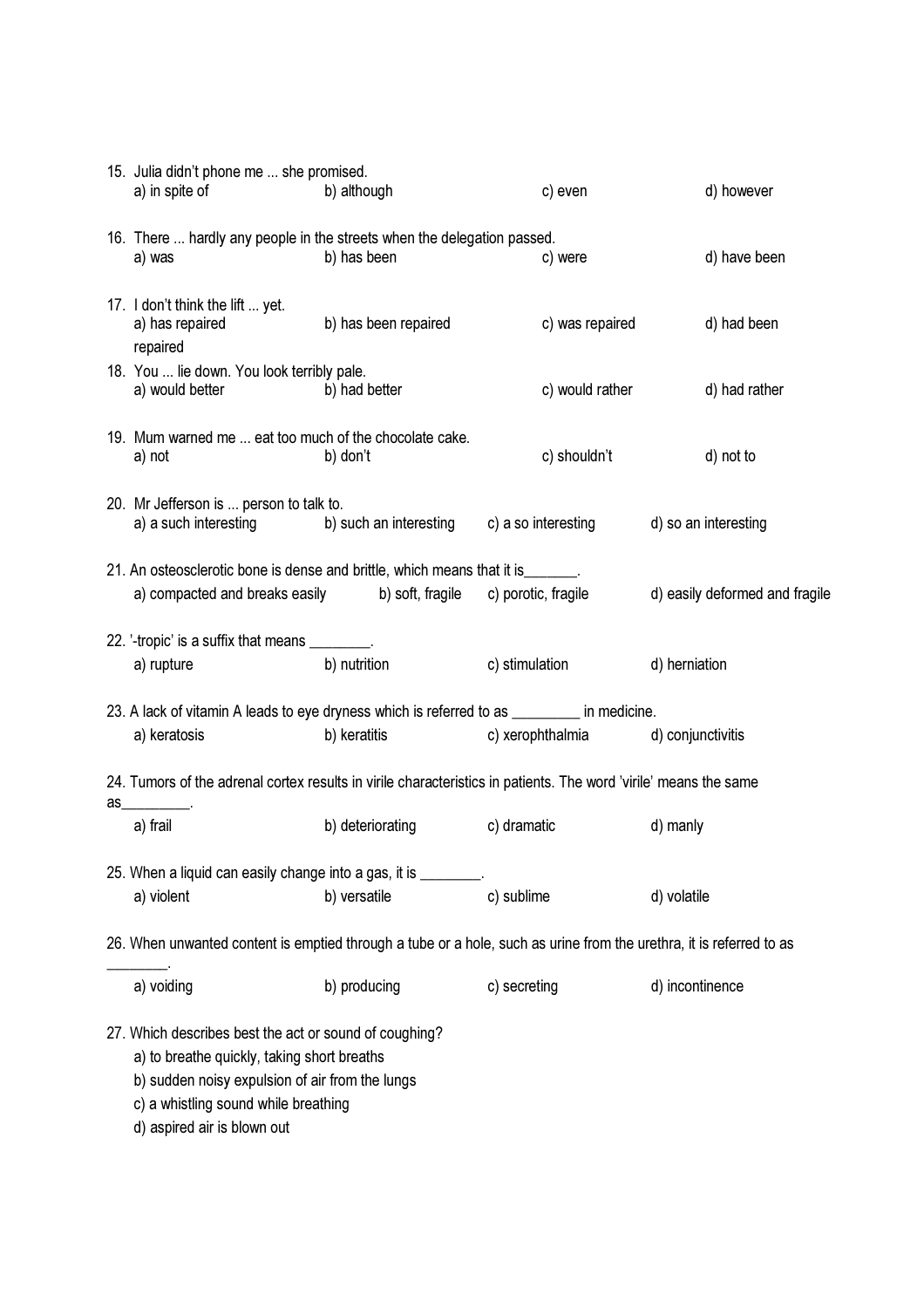|                                                                                                                                                                                                                                 | 15. Julia didn't phone me  she promised.<br>a) in spite of and some spite of                                                                                     | b) although                  | c) even         | d) however           |  |  |  |  |
|---------------------------------------------------------------------------------------------------------------------------------------------------------------------------------------------------------------------------------|------------------------------------------------------------------------------------------------------------------------------------------------------------------|------------------------------|-----------------|----------------------|--|--|--|--|
|                                                                                                                                                                                                                                 | 16. There  hardly any people in the streets when the delegation passed.<br>b) has been<br>c) were<br>a) was                                                      |                              | d) have been    |                      |  |  |  |  |
|                                                                                                                                                                                                                                 | 17. I don't think the lift  yet.<br>a) has repaired<br>repaired                                                                                                  | b) has been repaired         | c) was repaired | d) had been          |  |  |  |  |
|                                                                                                                                                                                                                                 | 18. You  lie down. You look terribly pale.<br>a) would better                                                                                                    | b) had better                | c) would rather | d) had rather        |  |  |  |  |
|                                                                                                                                                                                                                                 | 19. Mum warned me  eat too much of the chocolate cake.<br>a) not                                                                                                 | b) don't                     | c) shouldn't    | d) not to            |  |  |  |  |
|                                                                                                                                                                                                                                 | 20. Mr Jefferson is  person to talk to.<br>a) a such interesting b) such an interesting c) a so interesting                                                      |                              |                 | d) so an interesting |  |  |  |  |
| 21. An osteosclerotic bone is dense and brittle, which means that it is ______.<br>a) compacted and breaks easily b) soft, fragile c) porotic, fragile<br>d) easily deformed and fragile                                        |                                                                                                                                                                  |                              |                 |                      |  |  |  |  |
|                                                                                                                                                                                                                                 | 22. '-tropic' is a suffix that means ________.<br>a) rupture                                                                                                     | b) nutrition                 | c) stimulation  | d) herniation        |  |  |  |  |
|                                                                                                                                                                                                                                 | 23. A lack of vitamin A leads to eye dryness which is referred to as ________ in medicine.<br>b) keratitis<br>a) keratosis<br>c) xerophthalmia d) conjunctivitis |                              |                 |                      |  |  |  |  |
|                                                                                                                                                                                                                                 | 24. Tumors of the adrenal cortex results in virile characteristics in patients. The word 'virile' means the same<br>$\mathsf{as}$ ___________.                   |                              |                 |                      |  |  |  |  |
|                                                                                                                                                                                                                                 | a) frail                                                                                                                                                         | b) deteriorating c) dramatic |                 | d) manly             |  |  |  |  |
|                                                                                                                                                                                                                                 | 25. When a liquid can easily change into a gas, it is ________.<br>a) violent                                                                                    | b) versatile                 | c) sublime      | d) volatile          |  |  |  |  |
| 26. When unwanted content is emptied through a tube or a hole, such as urine from the urethra, it is referred to as                                                                                                             |                                                                                                                                                                  |                              |                 |                      |  |  |  |  |
|                                                                                                                                                                                                                                 | a) voiding                                                                                                                                                       | b) producing                 | c) secreting    | d) incontinence      |  |  |  |  |
| 27. Which describes best the act or sound of coughing?<br>a) to breathe quickly, taking short breaths<br>b) sudden noisy expulsion of air from the lungs<br>c) a whistling sound while breathing<br>d) aspired air is blown out |                                                                                                                                                                  |                              |                 |                      |  |  |  |  |